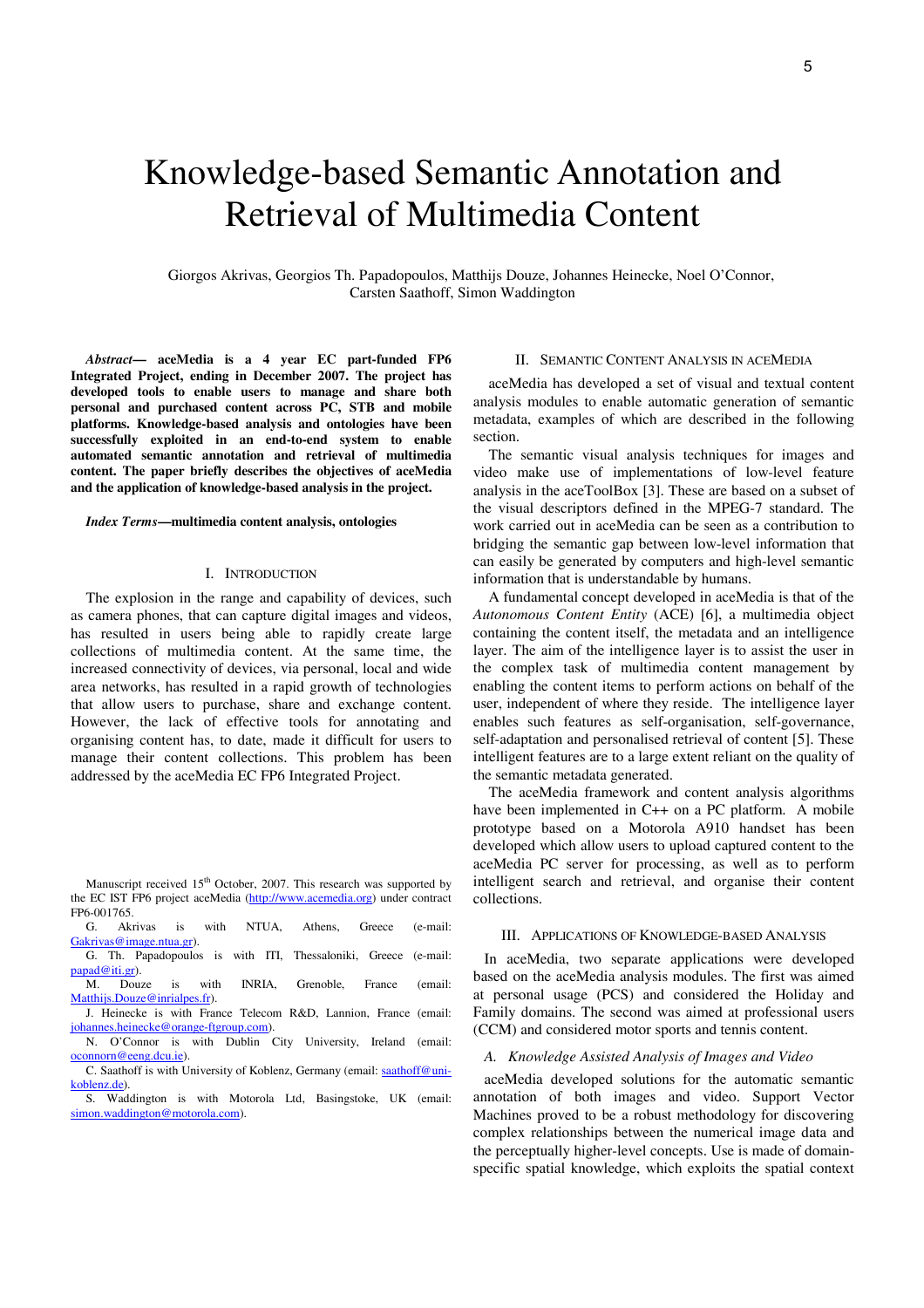# Knowledge-based Semantic Annotation and Retrieval of Multimedia Content

Giorgos Akrivas, Georgios Th. Papadopoulos, Matthijs Douze, Johannes Heinecke, Noel O'Connor, Carsten Saathoff, Simon Waddington

*Abstract***— aceMedia is a 4 year EC part-funded FP6 Integrated Project, ending in December 2007. The project has developed tools to enable users to manage and share both personal and purchased content across PC, STB and mobile platforms. Knowledge-based analysis and ontologies have been successfully exploited in an end-to-end system to enable automated semantic annotation and retrieval of multimedia content. The paper briefly describes the objectives of aceMedia and the application of knowledge-based analysis in the project.** 

#### *Index Terms***—multimedia content analysis, ontologies**

# I. INTRODUCTION

The explosion in the range and capability of devices, such as camera phones, that can capture digital images and videos, has resulted in users being able to rapidly create large collections of multimedia content. At the same time, the increased connectivity of devices, via personal, local and wide area networks, has resulted in a rapid growth of technologies that allow users to purchase, share and exchange content. However, the lack of effective tools for annotating and organising content has, to date, made it difficult for users to manage their content collections. This problem has been addressed by the aceMedia EC FP6 Integrated Project.

#### II. SEMANTIC CONTENT ANALYSIS IN ACEMEDIA

aceMedia has developed a set of visual and textual content analysis modules to enable automatic generation of semantic metadata, examples of which are described in the following section.

The semantic visual analysis techniques for images and video make use of implementations of low-level feature analysis in the aceToolBox [3]. These are based on a subset of the visual descriptors defined in the MPEG-7 standard. The work carried out in aceMedia can be seen as a contribution to bridging the semantic gap between low-level information that can easily be generated by computers and high-level semantic information that is understandable by humans.

A fundamental concept developed in aceMedia is that of the *Autonomous Content Entity* (ACE) [6], a multimedia object containing the content itself, the metadata and an intelligence layer. The aim of the intelligence layer is to assist the user in the complex task of multimedia content management by enabling the content items to perform actions on behalf of the user, independent of where they reside. The intelligence layer enables such features as self-organisation, self-governance, self-adaptation and personalised retrieval of content [5]. These intelligent features are to a large extent reliant on the quality of the semantic metadata generated.

The aceMedia framework and content analysis algorithms have been implemented in C++ on a PC platform. A mobile prototype based on a Motorola A910 handset has been developed which allow users to upload captured content to the aceMedia PC server for processing, as well as to perform intelligent search and retrieval, and organise their content collections.

# III. APPLICATIONS OF KNOWLEDGE-BASED ANALYSIS

In aceMedia, two separate applications were developed based on the aceMedia analysis modules. The first was aimed at personal usage (PCS) and considered the Holiday and Family domains. The second was aimed at professional users (CCM) and considered motor sports and tennis content.

#### *A. Knowledge Assisted Analysis of Images and Video*

aceMedia developed solutions for the automatic semantic annotation of both images and video. Support Vector Machines proved to be a robust methodology for discovering complex relationships between the numerical image data and the perceptually higher-level concepts. Use is made of domainspecific spatial knowledge, which exploits the spatial context

Manuscript received 15<sup>th</sup> October, 2007. This research was supported by the EC IST FP6 project aceMedia (http://www.acemedia.org) under contract FP6-001765.

G. Akrivas is with NTUA, Athens, Greece (e-mail: Gakrivas@image.ntua.gr).

G. Th. Papadopoulos is with ITI, Thessaloniki, Greece (e-mail: papad@iti.gr).

M. Douze is with INRIA, Grenoble, France (email: Matthijs.Douze@inrialpes.fr).

J. Heinecke is with France Telecom R&D, Lannion, France (email: johannes.heinecke@orange-ftgroup.com).

N. O'Connor is with Dublin City University, Ireland (email: oconnorn@eeng.dcu.ie).

C. Saathoff is with University of Koblenz, Germany (email: saathoff@unikoblenz.de).

S. Waddington is with Motorola Ltd, Basingstoke, UK (email: simon.waddington@motorola.com).